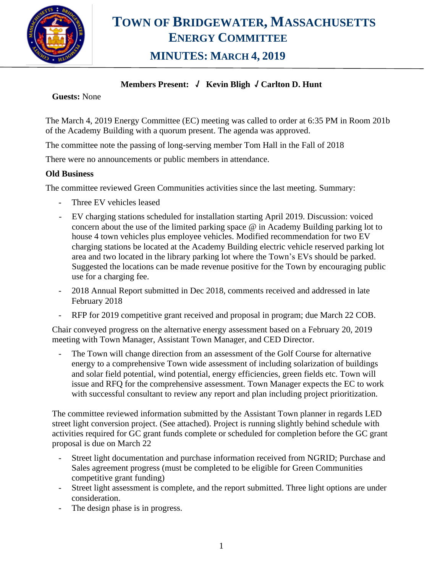

### **MINUTES: MARCH 4, 2019**

#### **Members Present: √ Kevin Bligh √ Carlton D. Hunt**

#### **Guests:** None

The March 4, 2019 Energy Committee (EC) meeting was called to order at 6:35 PM in Room 201b of the Academy Building with a quorum present. The agenda was approved.

The committee note the passing of long-serving member Tom Hall in the Fall of 2018

There were no announcements or public members in attendance.

#### **Old Business**

The committee reviewed Green Communities activities since the last meeting. Summary:

- Three EV vehicles leased
- EV charging stations scheduled for installation starting April 2019. Discussion: voiced concern about the use of the limited parking space @ in Academy Building parking lot to house 4 town vehicles plus employee vehicles. Modified recommendation for two EV charging stations be located at the Academy Building electric vehicle reserved parking lot area and two located in the library parking lot where the Town's EVs should be parked. Suggested the locations can be made revenue positive for the Town by encouraging public use for a charging fee.
- 2018 Annual Report submitted in Dec 2018, comments received and addressed in late February 2018
- RFP for 2019 competitive grant received and proposal in program; due March 22 COB.

Chair conveyed progress on the alternative energy assessment based on a February 20, 2019 meeting with Town Manager, Assistant Town Manager, and CED Director.

The Town will change direction from an assessment of the Golf Course for alternative energy to a comprehensive Town wide assessment of including solarization of buildings and solar field potential, wind potential, energy efficiencies, green fields etc. Town will issue and RFQ for the comprehensive assessment. Town Manager expects the EC to work with successful consultant to review any report and plan including project prioritization.

The committee reviewed information submitted by the Assistant Town planner in regards LED street light conversion project. (See attached). Project is running slightly behind schedule with activities required for GC grant funds complete or scheduled for completion before the GC grant proposal is due on March 22

- Street light documentation and purchase information received from NGRID; Purchase and Sales agreement progress (must be completed to be eligible for Green Communities competitive grant funding)
- Street light assessment is complete, and the report submitted. Three light options are under consideration.
- The design phase is in progress.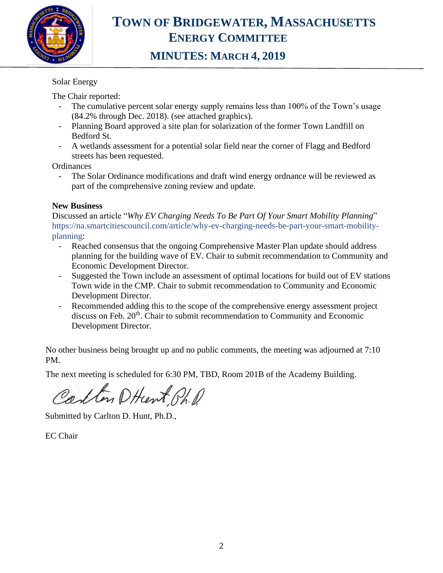

 **MINUTES: MARCH 4, 2019**

#### Solar Energy

The Chair reported:

- The cumulative percent solar energy supply remains less than 100% of the Town's usage (84.2% through Dec. 2018). (see attached graphics).
- Planning Board approved a site plan for solarization of the former Town Landfill on Bedford St.
- A wetlands assessment for a potential solar field near the corner of Flagg and Bedford streets has been requested.

**Ordinances** 

The Solar Ordinance modifications and draft wind energy ordnance will be reviewed as part of the comprehensive zoning review and update.

#### **New Business**

Discussed an article "*Why EV Charging Needs To Be Part Of Your Smart Mobility Planning*" [https://na.smartcitiescouncil.com/article/why-ev-charging-needs-be-part-your-smart-mobility](https://na.smartcitiescouncil.com/article/why-ev-charging-needs-be-part-your-smart-mobility-planning)[planning:](https://na.smartcitiescouncil.com/article/why-ev-charging-needs-be-part-your-smart-mobility-planning)

- Reached consensus that the ongoing Comprehensive Master Plan update should address planning for the building wave of EV. Chair to submit recommendation to Community and Economic Development Director.
- Suggested the Town include an assessment of optimal locations for build out of EV stations Town wide in the CMP. Chair to submit recommendation to Community and Economic Development Director.
- Recommended adding this to the scope of the comprehensive energy assessment project discuss on Feb. 20<sup>th</sup>. Chair to submit recommendation to Community and Economic Development Director.

No other business being brought up and no public comments, the meeting was adjourned at 7:10 PM.

The next meeting is scheduled for 6:30 PM, TBD, Room 201B of the Academy Building.

Carlton DHient Ph. P

Submitted by Carlton D. Hunt, Ph.D.,

EC Chair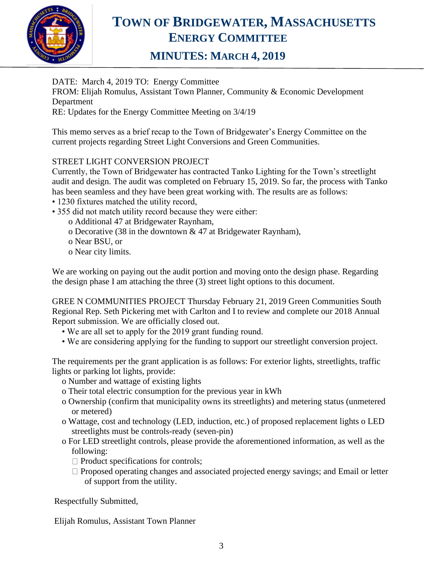

### **MINUTES: MARCH 4, 2019**

DATE: March 4, 2019 TO: Energy Committee FROM: Elijah Romulus, Assistant Town Planner, Community & Economic Development Department RE: Updates for the Energy Committee Meeting on 3/4/19

This memo serves as a brief recap to the Town of Bridgewater's Energy Committee on the current projects regarding Street Light Conversions and Green Communities.

#### STREET LIGHT CONVERSION PROJECT

Currently, the Town of Bridgewater has contracted Tanko Lighting for the Town's streetlight audit and design. The audit was completed on February 15, 2019. So far, the process with Tanko has been seamless and they have been great working with. The results are as follows:

- 1230 fixtures matched the utility record,
- 355 did not match utility record because they were either:

o Additional 47 at Bridgewater Raynham,

- o Decorative (38 in the downtown & 47 at Bridgewater Raynham),
- o Near BSU, or
- o Near city limits.

We are working on paying out the audit portion and moving onto the design phase. Regarding the design phase I am attaching the three (3) street light options to this document.

GREE N COMMUNITIES PROJECT Thursday February 21, 2019 Green Communities South Regional Rep. Seth Pickering met with Carlton and I to review and complete our 2018 Annual Report submission. We are officially closed out.

- We are all set to apply for the 2019 grant funding round.
- We are considering applying for the funding to support our streetlight conversion project.

The requirements per the grant application is as follows: For exterior lights, streetlights, traffic lights or parking lot lights, provide:

- o Number and wattage of existing lights
- o Their total electric consumption for the previous year in kWh
- o Ownership (confirm that municipality owns its streetlights) and metering status (unmetered or metered)
- o Wattage, cost and technology (LED, induction, etc.) of proposed replacement lights o LED streetlights must be controls-ready (seven-pin)
- o For LED streetlight controls, please provide the aforementioned information, as well as the following:
	- $\Box$  Product specifications for controls;
	- $\Box$  Proposed operating changes and associated projected energy savings; and Email or letter of support from the utility.

Respectfully Submitted,

Elijah Romulus, Assistant Town Planner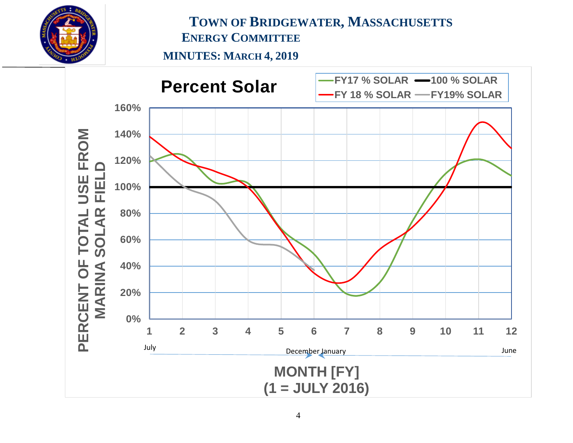

**TOWN OF BRIDGEWATER, MASSACHUSETTS ENERGY COMMITTEE MINUTES: MARCH 4, 2019**

**Percent Solar**  $\begin{array}{r} \n\hline\n\text{FY17 % SOLAR} \longrightarrow \text{100 % SOLAR}\n\end{array}$ **FY 18 % SOLAR FY19% SOLAR 160% PERCENT OF TOTAL USE FROM FROM 140% 120% MARINA SOLAR FIELD USE**<br>FIELI **100%** TOTAL **80%** SOL **60%** PERCENT OF<br>MARINA S **40% 20% 0% 1 2 3 4 5 6 7 8 9 10 11 12** July December January June**MONTH [FY] (1 = JULY 2016)**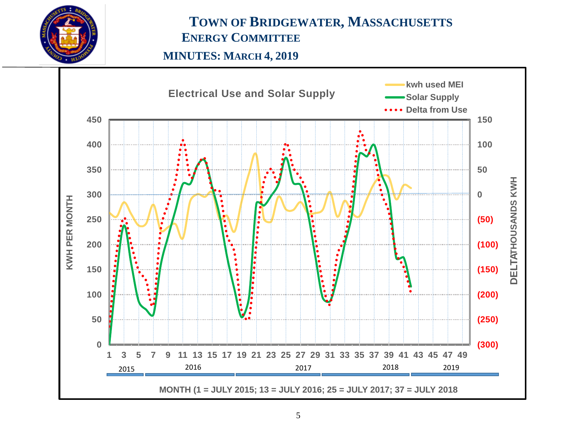

### **MINUTES: MARCH 4, 2019**